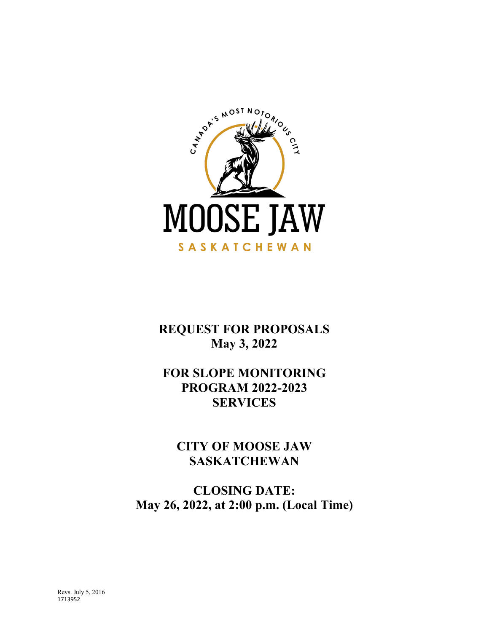

**REQUEST FOR PROPOSALS May 3, 2022**

# **FOR SLOPE MONITORING PROGRAM 2022-2023 SERVICES**

**CITY OF MOOSE JAW SASKATCHEWAN**

**CLOSING DATE: May 26, 2022, at 2:00 p.m. (Local Time)**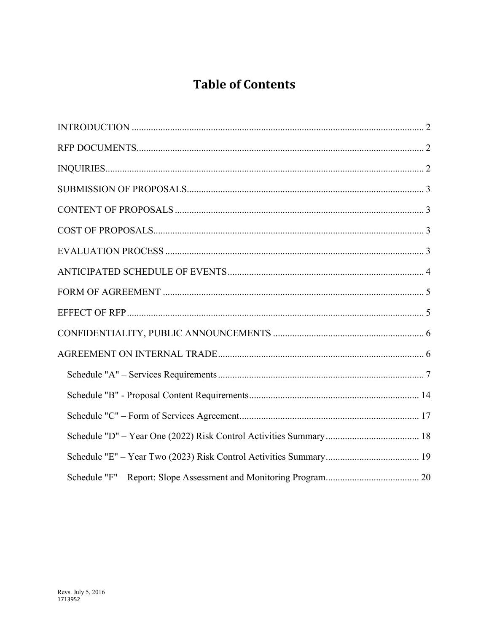# **Table of Contents**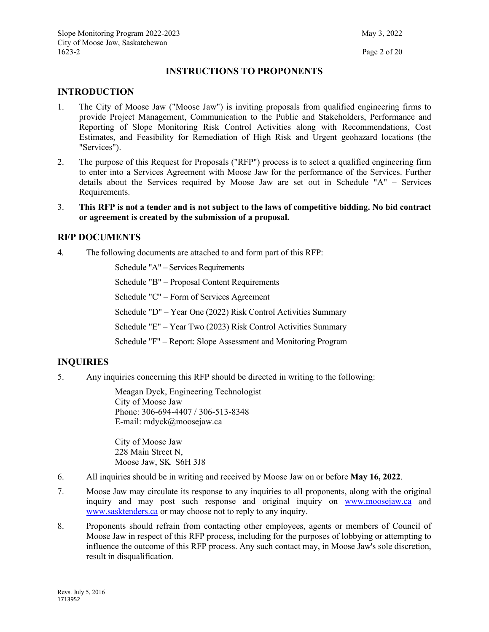### **INSTRUCTIONS TO PROPONENTS**

### <span id="page-2-0"></span>**INTRODUCTION**

- 1. The City of Moose Jaw ("Moose Jaw") is inviting proposals from qualified engineering firms to provide Project Management, Communication to the Public and Stakeholders, Performance and Reporting of Slope Monitoring Risk Control Activities along with Recommendations, Cost Estimates, and Feasibility for Remediation of High Risk and Urgent geohazard locations (the "Services").
- 2. The purpose of this Request for Proposals ("RFP") process is to select a qualified engineering firm to enter into a Services Agreement with Moose Jaw for the performance of the Services. Further details about the Services required by Moose Jaw are set out in Schedule "A" – Services Requirements.
- 3. **This RFP is not a tender and is not subject to the laws of competitive bidding. No bid contract or agreement is created by the submission of a proposal.**

### <span id="page-2-1"></span>**RFP DOCUMENTS**

4. The following documents are attached to and form part of this RFP:

Schedule "A" – Services Requirements

Schedule "B" – Proposal Content Requirements

Schedule "C" – Form of Services Agreement

Schedule "D" – Year One (2022) Risk Control Activities Summary

Schedule "E" – Year Two (2023) Risk Control Activities Summary

Schedule "F" – Report: Slope Assessment and Monitoring Program

## <span id="page-2-2"></span>**INQUIRIES**

5. Any inquiries concerning this RFP should be directed in writing to the following:

Meagan Dyck, Engineering Technologist City of Moose Jaw Phone: 306-694-4407 / 306-513-8348 E-mail: mdyck@moosejaw.ca

City of Moose Jaw 228 Main Street N, Moose Jaw, SK S6H 3J8

- 6. All inquiries should be in writing and received by Moose Jaw on or before **May 16, 2022**.
- 7. Moose Jaw may circulate its response to any inquiries to all proponents, along with the original inquiry and may post such response and original inquiry on [www.moosejaw.ca](http://www.moosejaw.ca/) and [www.sasktenders.ca](http://www.sasktenders.ca/) or may choose not to reply to any inquiry.
- 8. Proponents should refrain from contacting other employees, agents or members of Council of Moose Jaw in respect of this RFP process, including for the purposes of lobbying or attempting to influence the outcome of this RFP process. Any such contact may, in Moose Jaw's sole discretion, result in disqualification.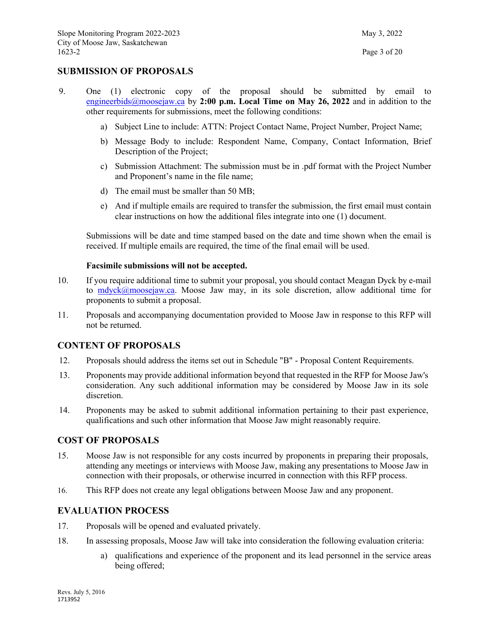### <span id="page-3-0"></span>**SUBMISSION OF PROPOSALS**

- 9. One (1) electronic copy of the proposal should be submitted by email to [engineerbids@moosejaw.ca](mailto:engineerbids@moosejaw.ca) by **2:00 p.m. Local Time on May 26, 2022** and in addition to the other requirements for submissions, meet the following conditions:
	- a) Subject Line to include: ATTN: Project Contact Name, Project Number, Project Name;
	- b) Message Body to include: Respondent Name, Company, Contact Information, Brief Description of the Project;
	- c) Submission Attachment: The submission must be in .pdf format with the Project Number and Proponent's name in the file name;
	- d) The email must be smaller than 50 MB;
	- e) And if multiple emails are required to transfer the submission, the first email must contain clear instructions on how the additional files integrate into one (1) document.

Submissions will be date and time stamped based on the date and time shown when the email is received. If multiple emails are required, the time of the final email will be used.

#### **Facsimile submissions will not be accepted.**

- 10. If you require additional time to submit your proposal, you should contact Meagan Dyck by e-mail to [mdyck@moosejaw.ca.](mailto:mdyck@moosejaw.ca) Moose Jaw may, in its sole discretion, allow additional time for proponents to submit a proposal.
- 11. Proposals and accompanying documentation provided to Moose Jaw in response to this RFP will not be returned.

#### <span id="page-3-1"></span>**CONTENT OF PROPOSALS**

- 12. Proposals should address the items set out in Schedule "B" Proposal Content Requirements.
- 13. Proponents may provide additional information beyond that requested in the RFP for Moose Jaw's consideration. Any such additional information may be considered by Moose Jaw in its sole discretion.
- 14. Proponents may be asked to submit additional information pertaining to their past experience, qualifications and such other information that Moose Jaw might reasonably require.

#### <span id="page-3-2"></span>**COST OF PROPOSALS**

- 15. Moose Jaw is not responsible for any costs incurred by proponents in preparing their proposals, attending any meetings or interviews with Moose Jaw, making any presentations to Moose Jaw in connection with their proposals, or otherwise incurred in connection with this RFP process.
- 16. This RFP does not create any legal obligations between Moose Jaw and any proponent.

### <span id="page-3-3"></span>**EVALUATION PROCESS**

- 17. Proposals will be opened and evaluated privately.
- 18. In assessing proposals, Moose Jaw will take into consideration the following evaluation criteria:
	- a) qualifications and experience of the proponent and its lead personnel in the service areas being offered;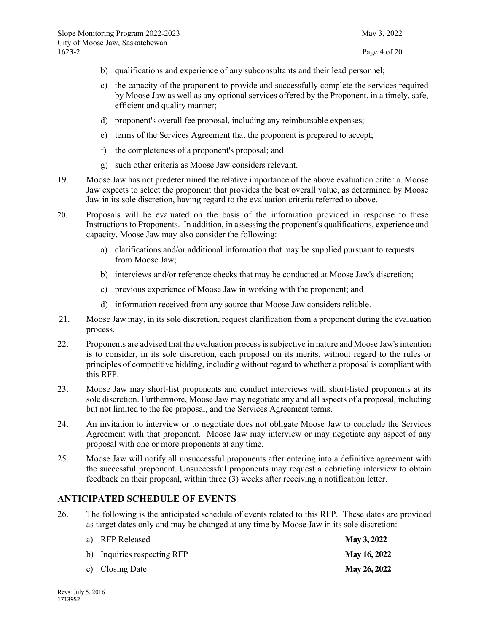- b) qualifications and experience of any subconsultants and their lead personnel;
- c) the capacity of the proponent to provide and successfully complete the services required by Moose Jaw as well as any optional services offered by the Proponent, in a timely, safe, efficient and quality manner;
- d) proponent's overall fee proposal, including any reimbursable expenses;
- e) terms of the Services Agreement that the proponent is prepared to accept;
- f) the completeness of a proponent's proposal; and
- g) such other criteria as Moose Jaw considers relevant.
- 19. Moose Jaw has not predetermined the relative importance of the above evaluation criteria. Moose Jaw expects to select the proponent that provides the best overall value, as determined by Moose Jaw in its sole discretion, having regard to the evaluation criteria referred to above.
- 20. Proposals will be evaluated on the basis of the information provided in response to these Instructions to Proponents. In addition, in assessing the proponent's qualifications, experience and capacity, Moose Jaw may also consider the following:
	- a) clarifications and/or additional information that may be supplied pursuant to requests from Moose Jaw;
	- b) interviews and/or reference checks that may be conducted at Moose Jaw's discretion;
	- c) previous experience of Moose Jaw in working with the proponent; and
	- d) information received from any source that Moose Jaw considers reliable.
- 21. Moose Jaw may, in its sole discretion, request clarification from a proponent during the evaluation process.
- 22. Proponents are advised that the evaluation process is subjective in nature and Moose Jaw's intention is to consider, in its sole discretion, each proposal on its merits, without regard to the rules or principles of competitive bidding, including without regard to whether a proposal is compliant with this RFP.
- 23. Moose Jaw may short-list proponents and conduct interviews with short-listed proponents at its sole discretion. Furthermore, Moose Jaw may negotiate any and all aspects of a proposal, including but not limited to the fee proposal, and the Services Agreement terms.
- 24. An invitation to interview or to negotiate does not obligate Moose Jaw to conclude the Services Agreement with that proponent. Moose Jaw may interview or may negotiate any aspect of any proposal with one or more proponents at any time.
- 25. Moose Jaw will notify all unsuccessful proponents after entering into a definitive agreement with the successful proponent. Unsuccessful proponents may request a debriefing interview to obtain feedback on their proposal, within three (3) weeks after receiving a notification letter.

## <span id="page-4-0"></span>**ANTICIPATED SCHEDULE OF EVENTS**

26. The following is the anticipated schedule of events related to this RFP. These dates are provided as target dates only and may be changed at any time by Moose Jaw in its sole discretion:

| a) RFP Released             | May 3, 2022         |
|-----------------------------|---------------------|
| b) Inquiries respecting RFP | <b>May 16, 2022</b> |
| c) Closing Date             | May 26, 2022        |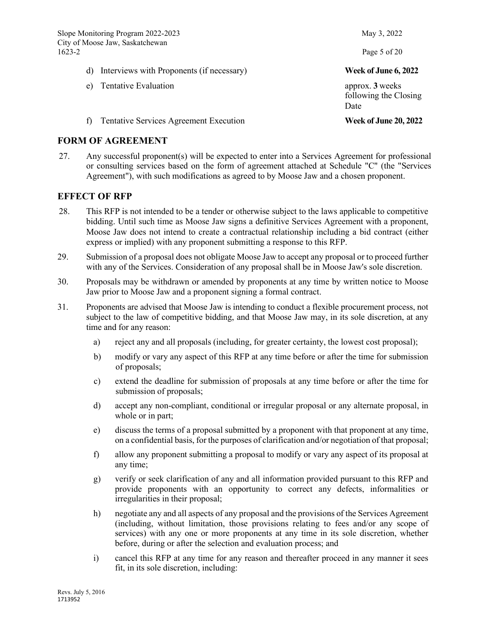Slope Monitoring Program 2022-2023 May 3, 2022 City of Moose Jaw, Saskatchewan 1623-2 Page 5 of 20

- d) Interviews with Proponents (if necessary) **Week of June 6, 2022**
- e) Tentative Evaluation **approx. 3** weeks
- f) Tentative Services Agreement Execution **Week of June 20, 2022**

### <span id="page-5-0"></span>**FORM OF AGREEMENT**

27. Any successful proponent(s) will be expected to enter into a Services Agreement for professional or consulting services based on the form of agreement attached at Schedule "C" (the "Services Agreement"), with such modifications as agreed to by Moose Jaw and a chosen proponent.

### <span id="page-5-1"></span>**EFFECT OF RFP**

- 28. This RFP is not intended to be a tender or otherwise subject to the laws applicable to competitive bidding. Until such time as Moose Jaw signs a definitive Services Agreement with a proponent, Moose Jaw does not intend to create a contractual relationship including a bid contract (either express or implied) with any proponent submitting a response to this RFP.
- 29. Submission of a proposal does not obligate Moose Jaw to accept any proposal or to proceed further with any of the Services. Consideration of any proposal shall be in Moose Jaw's sole discretion.
- 30. Proposals may be withdrawn or amended by proponents at any time by written notice to Moose Jaw prior to Moose Jaw and a proponent signing a formal contract.
- 31. Proponents are advised that Moose Jaw is intending to conduct a flexible procurement process, not subject to the law of competitive bidding, and that Moose Jaw may, in its sole discretion, at any time and for any reason:
	- a) reject any and all proposals (including, for greater certainty, the lowest cost proposal);
	- b) modify or vary any aspect of this RFP at any time before or after the time for submission of proposals;
	- c) extend the deadline for submission of proposals at any time before or after the time for submission of proposals;
	- d) accept any non-compliant, conditional or irregular proposal or any alternate proposal, in whole or in part;
	- e) discuss the terms of a proposal submitted by a proponent with that proponent at any time, on a confidential basis, for the purposes of clarification and/or negotiation of that proposal;
	- f) allow any proponent submitting a proposal to modify or vary any aspect of its proposal at any time;
	- g) verify or seek clarification of any and all information provided pursuant to this RFP and provide proponents with an opportunity to correct any defects, informalities or irregularities in their proposal;
	- h) negotiate any and all aspects of any proposal and the provisions of the Services Agreement (including, without limitation, those provisions relating to fees and/or any scope of services) with any one or more proponents at any time in its sole discretion, whether before, during or after the selection and evaluation process; and
	- i) cancel this RFP at any time for any reason and thereafter proceed in any manner it sees fit, in its sole discretion, including:

following the Closing Date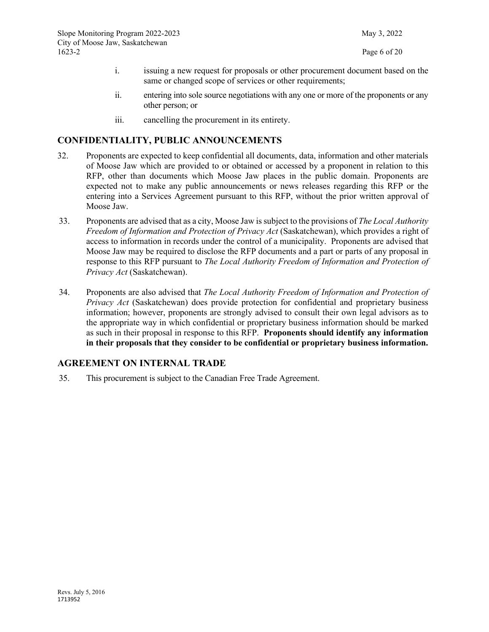- i. issuing a new request for proposals or other procurement document based on the same or changed scope of services or other requirements;
- ii. entering into sole source negotiations with any one or more of the proponents or any other person; or
- iii. cancelling the procurement in its entirety.

## <span id="page-6-0"></span>**CONFIDENTIALITY, PUBLIC ANNOUNCEMENTS**

- 32. Proponents are expected to keep confidential all documents, data, information and other materials of Moose Jaw which are provided to or obtained or accessed by a proponent in relation to this RFP, other than documents which Moose Jaw places in the public domain. Proponents are expected not to make any public announcements or news releases regarding this RFP or the entering into a Services Agreement pursuant to this RFP, without the prior written approval of Moose Jaw.
- 33. Proponents are advised that as a city, Moose Jaw is subject to the provisions of *The Local Authority Freedom of Information and Protection of Privacy Act* (Saskatchewan), which provides a right of access to information in records under the control of a municipality. Proponents are advised that Moose Jaw may be required to disclose the RFP documents and a part or parts of any proposal in response to this RFP pursuant to *The Local Authority Freedom of Information and Protection of Privacy Act* (Saskatchewan).
- 34. Proponents are also advised that *The Local Authority Freedom of Information and Protection of Privacy Act* (Saskatchewan) does provide protection for confidential and proprietary business information; however, proponents are strongly advised to consult their own legal advisors as to the appropriate way in which confidential or proprietary business information should be marked as such in their proposal in response to this RFP. **Proponents should identify any information in their proposals that they consider to be confidential or proprietary business information.**

### <span id="page-6-1"></span>**AGREEMENT ON INTERNAL TRADE**

35. This procurement is subject to the Canadian Free Trade Agreement.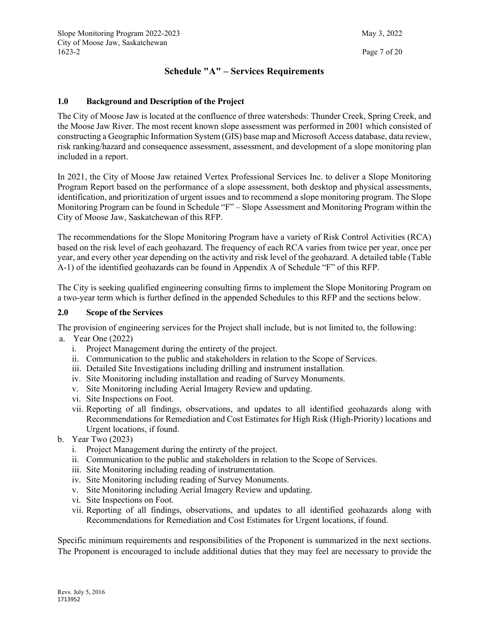## **Schedule "A" – Services Requirements**

### <span id="page-7-0"></span>**1.0 Background and Description of the Project**

The City of Moose Jaw is located at the confluence of three watersheds: Thunder Creek, Spring Creek, and the Moose Jaw River. The most recent known slope assessment was performed in 2001 which consisted of constructing a Geographic Information System (GIS) base map and Microsoft Access database, data review, risk ranking/hazard and consequence assessment, assessment, and development of a slope monitoring plan included in a report.

In 2021, the City of Moose Jaw retained Vertex Professional Services Inc. to deliver a Slope Monitoring Program Report based on the performance of a slope assessment, both desktop and physical assessments, identification, and prioritization of urgent issues and to recommend a slope monitoring program. The Slope Monitoring Program can be found in Schedule "F" – Slope Assessment and Monitoring Program within the City of Moose Jaw, Saskatchewan of this RFP.

The recommendations for the Slope Monitoring Program have a variety of Risk Control Activities (RCA) based on the risk level of each geohazard. The frequency of each RCA varies from twice per year, once per year, and every other year depending on the activity and risk level of the geohazard. A detailed table (Table A-1) of the identified geohazards can be found in Appendix A of Schedule "F" of this RFP.

The City is seeking qualified engineering consulting firms to implement the Slope Monitoring Program on a two-year term which is further defined in the appended Schedules to this RFP and the sections below.

#### **2.0 Scope of the Services**

The provision of engineering services for the Project shall include, but is not limited to, the following: a. Year One (2022)

- i. Project Management during the entirety of the project.
- ii. Communication to the public and stakeholders in relation to the Scope of Services.
- iii. Detailed Site Investigations including drilling and instrument installation.
- iv. Site Monitoring including installation and reading of Survey Monuments.
- v. Site Monitoring including Aerial Imagery Review and updating.
- vi. Site Inspections on Foot.
- vii. Reporting of all findings, observations, and updates to all identified geohazards along with Recommendations for Remediation and Cost Estimates for High Risk (High-Priority) locations and Urgent locations, if found.
- b. Year Two (2023)
	- i. Project Management during the entirety of the project.
	- ii. Communication to the public and stakeholders in relation to the Scope of Services.
	- iii. Site Monitoring including reading of instrumentation.
	- iv. Site Monitoring including reading of Survey Monuments.
	- v. Site Monitoring including Aerial Imagery Review and updating.
	- vi. Site Inspections on Foot.
	- vii. Reporting of all findings, observations, and updates to all identified geohazards along with Recommendations for Remediation and Cost Estimates for Urgent locations, if found.

Specific minimum requirements and responsibilities of the Proponent is summarized in the next sections. The Proponent is encouraged to include additional duties that they may feel are necessary to provide the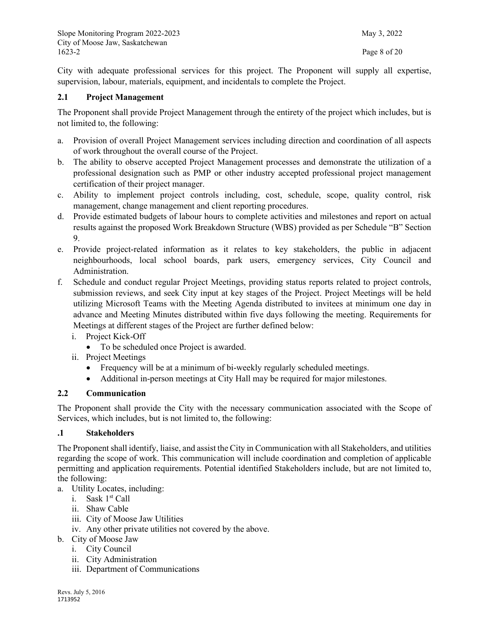City with adequate professional services for this project. The Proponent will supply all expertise, supervision, labour, materials, equipment, and incidentals to complete the Project.

#### **2.1 Project Management**

The Proponent shall provide Project Management through the entirety of the project which includes, but is not limited to, the following:

- a. Provision of overall Project Management services including direction and coordination of all aspects of work throughout the overall course of the Project.
- b. The ability to observe accepted Project Management processes and demonstrate the utilization of a professional designation such as PMP or other industry accepted professional project management certification of their project manager.
- c. Ability to implement project controls including, cost, schedule, scope, quality control, risk management, change management and client reporting procedures.
- d. Provide estimated budgets of labour hours to complete activities and milestones and report on actual results against the proposed Work Breakdown Structure (WBS) provided as per Schedule "B" Section 9.
- e. Provide project-related information as it relates to key stakeholders, the public in adjacent neighbourhoods, local school boards, park users, emergency services, City Council and Administration.
- f. Schedule and conduct regular Project Meetings, providing status reports related to project controls, submission reviews, and seek City input at key stages of the Project. Project Meetings will be held utilizing Microsoft Teams with the Meeting Agenda distributed to invitees at minimum one day in advance and Meeting Minutes distributed within five days following the meeting. Requirements for Meetings at different stages of the Project are further defined below:
	- i. Project Kick-Off
		- To be scheduled once Project is awarded.
	- ii. Project Meetings
		- Frequency will be at a minimum of bi-weekly regularly scheduled meetings.
		- Additional in-person meetings at City Hall may be required for major milestones.

### **2.2 Communication**

The Proponent shall provide the City with the necessary communication associated with the Scope of Services, which includes, but is not limited to, the following:

#### **.1 Stakeholders**

The Proponent shall identify, liaise, and assist the City in Communication with all Stakeholders, and utilities regarding the scope of work. This communication will include coordination and completion of applicable permitting and application requirements. Potential identified Stakeholders include, but are not limited to, the following:

- a. Utility Locates, including:
	- i. Sask 1st Call
	- ii. Shaw Cable
	- iii. City of Moose Jaw Utilities
	- iv. Any other private utilities not covered by the above.
- b. City of Moose Jaw
	- i. City Council
	- ii. City Administration
	- iii. Department of Communications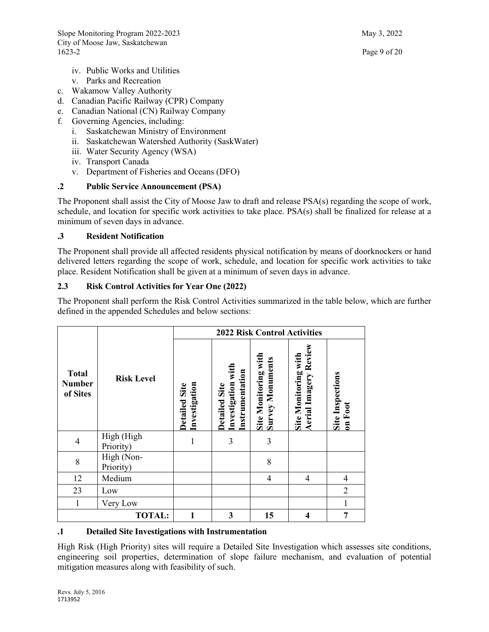- iv. Public Works and Utilities
- v. Parks and Recreation
- c. Wakamow Valley Authority
- d. Canadian Pacific Railway (CPR) Company
- e. Canadian National (CN) Railway Company
- f. Governing Agencies, including:
	- i. Saskatchewan Ministry of Environment
	- ii. Saskatchewan Watershed Authority (SaskWater)
	- iii. Water Security Agency (WSA)
	- iv. Transport Canada
	- v. Department of Fisheries and Oceans (DFO)

### **.2 Public Service Announcement (PSA)**

The Proponent shall assist the City of Moose Jaw to draft and release PSA(s) regarding the scope of work, schedule, and location for specific work activities to take place. PSA(s) shall be finalized for release at a minimum of seven days in advance.

#### **.3 Resident Notification**

The Proponent shall provide all affected residents physical notification by means of doorknockers or hand delivered letters regarding the scope of work, schedule, and location for specific work activities to take place. Resident Notification shall be given at a minimum of seven days in advance.

### **2.3 Risk Control Activities for Year One (2022)**

The Proponent shall perform the Risk Control Activities summarized in the table below, which are further defined in the appended Schedules and below sections:

|                                                                           |                   |                                       |                                                        | <b>2022 Risk Control Activities</b>             |                                                      |                             |
|---------------------------------------------------------------------------|-------------------|---------------------------------------|--------------------------------------------------------|-------------------------------------------------|------------------------------------------------------|-----------------------------|
| <b>Total</b><br><b>Number</b><br>of Sites                                 | <b>Risk Level</b> | Investigation<br><b>Detailed Site</b> | Investigation with<br>Instrumentation<br>Detailed Site | Site Monitoring with<br><b>Survey Monuments</b> | Aerial Imagery Review<br><b>Site Monitoring with</b> | Site Inspections<br>on Foot |
| High (High<br>$\overline{4}$<br>Priority)<br>High (Non-<br>8<br>Priority) |                   | 1                                     | 3                                                      | 3                                               |                                                      |                             |
|                                                                           |                   |                                       |                                                        | 8                                               |                                                      |                             |
| 12                                                                        | Medium            |                                       |                                                        | $\overline{4}$                                  | $\overline{4}$                                       | $\overline{4}$              |
| 23                                                                        | Low               |                                       |                                                        |                                                 |                                                      | $\overline{2}$              |
| 1                                                                         | Very Low          |                                       |                                                        |                                                 |                                                      | 1                           |
|                                                                           | <b>TOTAL:</b>     | 1                                     | 3                                                      | 15                                              | 4                                                    | 7                           |

#### **.1 Detailed Site Investigations with Instrumentation**

High Risk (High Priority) sites will require a Detailed Site Investigation which assesses site conditions, engineering soil properties, determination of slope failure mechanism, and evaluation of potential mitigation measures along with feasibility of such.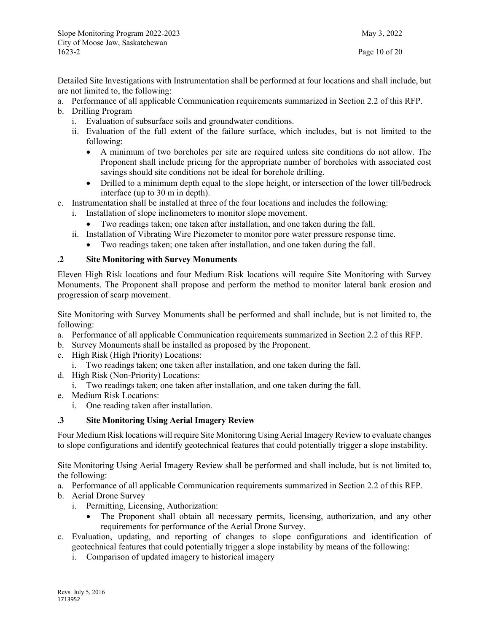Detailed Site Investigations with Instrumentation shall be performed at four locations and shall include, but are not limited to, the following:

- a. Performance of all applicable Communication requirements summarized in Section 2.2 of this RFP.
- b. Drilling Program
	- i. Evaluation of subsurface soils and groundwater conditions.
	- ii. Evaluation of the full extent of the failure surface, which includes, but is not limited to the following:
		- A minimum of two boreholes per site are required unless site conditions do not allow. The Proponent shall include pricing for the appropriate number of boreholes with associated cost savings should site conditions not be ideal for borehole drilling.
		- Drilled to a minimum depth equal to the slope height, or intersection of the lower till/bedrock interface (up to 30 m in depth).
- c. Instrumentation shall be installed at three of the four locations and includes the following:
	- i. Installation of slope inclinometers to monitor slope movement.
		- Two readings taken; one taken after installation, and one taken during the fall.
	- ii. Installation of Vibrating Wire Piezometer to monitor pore water pressure response time.
		- Two readings taken; one taken after installation, and one taken during the fall.

### **.2 Site Monitoring with Survey Monuments**

Eleven High Risk locations and four Medium Risk locations will require Site Monitoring with Survey Monuments. The Proponent shall propose and perform the method to monitor lateral bank erosion and progression of scarp movement.

Site Monitoring with Survey Monuments shall be performed and shall include, but is not limited to, the following:

- a. Performance of all applicable Communication requirements summarized in Section 2.2 of this RFP.
- b. Survey Monuments shall be installed as proposed by the Proponent.
- c. High Risk (High Priority) Locations:
	- i. Two readings taken; one taken after installation, and one taken during the fall.
- d. High Risk (Non-Priority) Locations:
	- i. Two readings taken; one taken after installation, and one taken during the fall.
- e. Medium Risk Locations:
	- i. One reading taken after installation.

#### **.3 Site Monitoring Using Aerial Imagery Review**

Four Medium Risk locations will require Site Monitoring Using Aerial Imagery Review to evaluate changes to slope configurations and identify geotechnical features that could potentially trigger a slope instability.

Site Monitoring Using Aerial Imagery Review shall be performed and shall include, but is not limited to, the following:

- a. Performance of all applicable Communication requirements summarized in Section 2.2 of this RFP.
- b. Aerial Drone Survey
	- i. Permitting, Licensing, Authorization:
		- The Proponent shall obtain all necessary permits, licensing, authorization, and any other requirements for performance of the Aerial Drone Survey.
- c. Evaluation, updating, and reporting of changes to slope configurations and identification of geotechnical features that could potentially trigger a slope instability by means of the following:
	- i. Comparison of updated imagery to historical imagery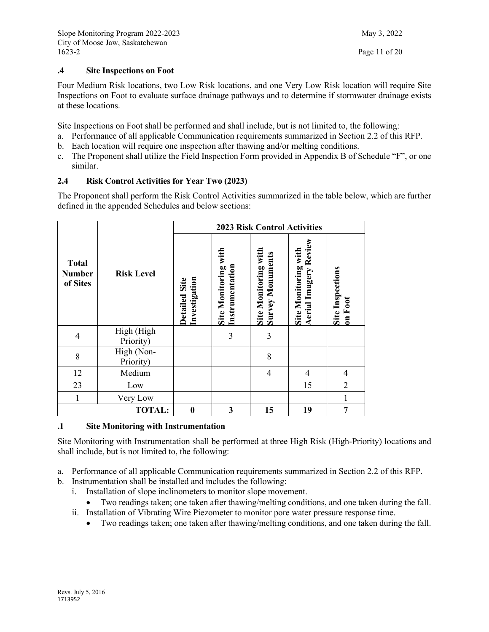### **.4 Site Inspections on Foot**

Four Medium Risk locations, two Low Risk locations, and one Very Low Risk location will require Site Inspections on Foot to evaluate surface drainage pathways and to determine if stormwater drainage exists at these locations.

Site Inspections on Foot shall be performed and shall include, but is not limited to, the following:

- a. Performance of all applicable Communication requirements summarized in Section 2.2 of this RFP.
- b. Each location will require one inspection after thawing and/or melting conditions.
- c. The Proponent shall utilize the Field Inspection Form provided in Appendix B of Schedule "F", or one similar.

### **2.4 Risk Control Activities for Year Two (2023)**

The Proponent shall perform the Risk Control Activities summarized in the table below, which are further defined in the appended Schedules and below sections:

|                                           |                         |                                |                                         | <b>2023 Risk Control Activities</b>             |                                                      |                                    |
|-------------------------------------------|-------------------------|--------------------------------|-----------------------------------------|-------------------------------------------------|------------------------------------------------------|------------------------------------|
| <b>Total</b><br><b>Number</b><br>of Sites | <b>Risk Level</b>       | Investigation<br>Detailed Site | Site Monitoring with<br>Instrumentation | Site Monitoring with<br><b>Survey Monuments</b> | Aerial Imagery Review<br><b>Site Monitoring with</b> | <b>Site Inspections</b><br>on Foot |
| $\overline{4}$                            | High (High<br>Priority) |                                | 3                                       | 3                                               |                                                      |                                    |
| 8                                         | High (Non-<br>Priority) |                                |                                         | 8                                               |                                                      |                                    |
| 12                                        | Medium                  |                                |                                         | 4                                               | 4                                                    | $\overline{4}$                     |
| 23                                        | Low                     |                                |                                         |                                                 | 15                                                   | $\overline{2}$                     |
| $\mathbf{1}$                              | Very Low                |                                |                                         |                                                 |                                                      | $\mathbf{1}$                       |
| <b>TOTAL:</b>                             |                         | $\bf{0}$                       | 3                                       | 15                                              | 19                                                   | $\overline{7}$                     |

#### **.1 Site Monitoring with Instrumentation**

Site Monitoring with Instrumentation shall be performed at three High Risk (High-Priority) locations and shall include, but is not limited to, the following:

- a. Performance of all applicable Communication requirements summarized in Section 2.2 of this RFP.
- b. Instrumentation shall be installed and includes the following:
	- i. Installation of slope inclinometers to monitor slope movement.
		- Two readings taken; one taken after thawing/melting conditions, and one taken during the fall.
	- ii. Installation of Vibrating Wire Piezometer to monitor pore water pressure response time.
		- Two readings taken; one taken after thawing/melting conditions, and one taken during the fall.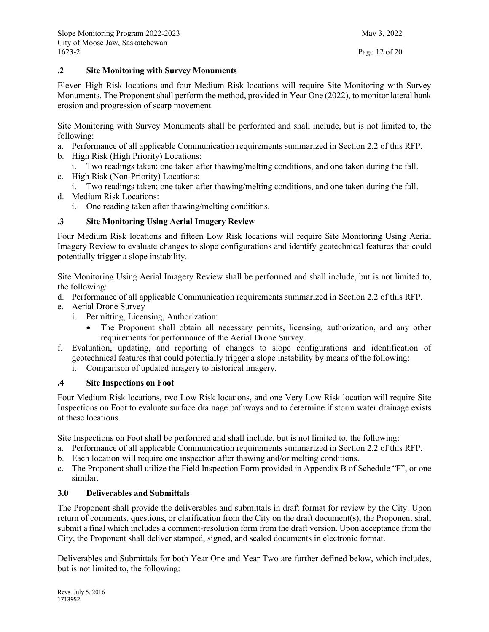### **.2 Site Monitoring with Survey Monuments**

Eleven High Risk locations and four Medium Risk locations will require Site Monitoring with Survey Monuments. The Proponent shall perform the method, provided in Year One (2022), to monitor lateral bank erosion and progression of scarp movement.

Site Monitoring with Survey Monuments shall be performed and shall include, but is not limited to, the following:

- a. Performance of all applicable Communication requirements summarized in Section 2.2 of this RFP.
- b. High Risk (High Priority) Locations:
- i. Two readings taken; one taken after thawing/melting conditions, and one taken during the fall.
- c. High Risk (Non-Priority) Locations:
- i. Two readings taken; one taken after thawing/melting conditions, and one taken during the fall.
- d. Medium Risk Locations:
	- i. One reading taken after thawing/melting conditions.

### **.3 Site Monitoring Using Aerial Imagery Review**

Four Medium Risk locations and fifteen Low Risk locations will require Site Monitoring Using Aerial Imagery Review to evaluate changes to slope configurations and identify geotechnical features that could potentially trigger a slope instability.

Site Monitoring Using Aerial Imagery Review shall be performed and shall include, but is not limited to, the following:

- d. Performance of all applicable Communication requirements summarized in Section 2.2 of this RFP.
- e. Aerial Drone Survey
	- i. Permitting, Licensing, Authorization:
		- The Proponent shall obtain all necessary permits, licensing, authorization, and any other requirements for performance of the Aerial Drone Survey.
- f. Evaluation, updating, and reporting of changes to slope configurations and identification of geotechnical features that could potentially trigger a slope instability by means of the following:
	- i. Comparison of updated imagery to historical imagery.

#### **.4 Site Inspections on Foot**

Four Medium Risk locations, two Low Risk locations, and one Very Low Risk location will require Site Inspections on Foot to evaluate surface drainage pathways and to determine if storm water drainage exists at these locations.

Site Inspections on Foot shall be performed and shall include, but is not limited to, the following:

- a. Performance of all applicable Communication requirements summarized in Section 2.2 of this RFP.
- b. Each location will require one inspection after thawing and/or melting conditions.
- c. The Proponent shall utilize the Field Inspection Form provided in Appendix B of Schedule "F", or one similar.

#### **3.0 Deliverables and Submittals**

The Proponent shall provide the deliverables and submittals in draft format for review by the City. Upon return of comments, questions, or clarification from the City on the draft document(s), the Proponent shall submit a final which includes a comment-resolution form from the draft version. Upon acceptance from the City, the Proponent shall deliver stamped, signed, and sealed documents in electronic format.

Deliverables and Submittals for both Year One and Year Two are further defined below, which includes, but is not limited to, the following: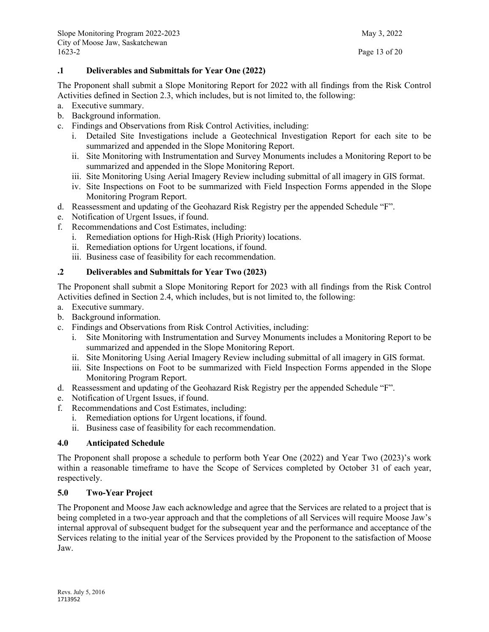### **.1 Deliverables and Submittals for Year One (2022)**

The Proponent shall submit a Slope Monitoring Report for 2022 with all findings from the Risk Control Activities defined in Section 2.3, which includes, but is not limited to, the following:

- a. Executive summary.
- b. Background information.
- c. Findings and Observations from Risk Control Activities, including:
	- i. Detailed Site Investigations include a Geotechnical Investigation Report for each site to be summarized and appended in the Slope Monitoring Report.
	- ii. Site Monitoring with Instrumentation and Survey Monuments includes a Monitoring Report to be summarized and appended in the Slope Monitoring Report.
	- iii. Site Monitoring Using Aerial Imagery Review including submittal of all imagery in GIS format.
	- iv. Site Inspections on Foot to be summarized with Field Inspection Forms appended in the Slope Monitoring Program Report.
- d. Reassessment and updating of the Geohazard Risk Registry per the appended Schedule "F".
- e. Notification of Urgent Issues, if found.
- f. Recommendations and Cost Estimates, including:
	- i. Remediation options for High-Risk (High Priority) locations.
	- ii. Remediation options for Urgent locations, if found.
	- iii. Business case of feasibility for each recommendation.

### **.2 Deliverables and Submittals for Year Two (2023)**

The Proponent shall submit a Slope Monitoring Report for 2023 with all findings from the Risk Control Activities defined in Section 2.4, which includes, but is not limited to, the following:

- a. Executive summary.
- b. Background information.
- c. Findings and Observations from Risk Control Activities, including:
	- i. Site Monitoring with Instrumentation and Survey Monuments includes a Monitoring Report to be summarized and appended in the Slope Monitoring Report.
	- ii. Site Monitoring Using Aerial Imagery Review including submittal of all imagery in GIS format.
	- iii. Site Inspections on Foot to be summarized with Field Inspection Forms appended in the Slope Monitoring Program Report.
- d. Reassessment and updating of the Geohazard Risk Registry per the appended Schedule "F".
- e. Notification of Urgent Issues, if found.
- f. Recommendations and Cost Estimates, including:
	- i. Remediation options for Urgent locations, if found.
	- ii. Business case of feasibility for each recommendation.

### **4.0 Anticipated Schedule**

The Proponent shall propose a schedule to perform both Year One (2022) and Year Two (2023)'s work within a reasonable timeframe to have the Scope of Services completed by October 31 of each year, respectively.

### **5.0 Two-Year Project**

The Proponent and Moose Jaw each acknowledge and agree that the Services are related to a project that is being completed in a two-year approach and that the completions of all Services will require Moose Jaw's internal approval of subsequent budget for the subsequent year and the performance and acceptance of the Services relating to the initial year of the Services provided by the Proponent to the satisfaction of Moose Jaw.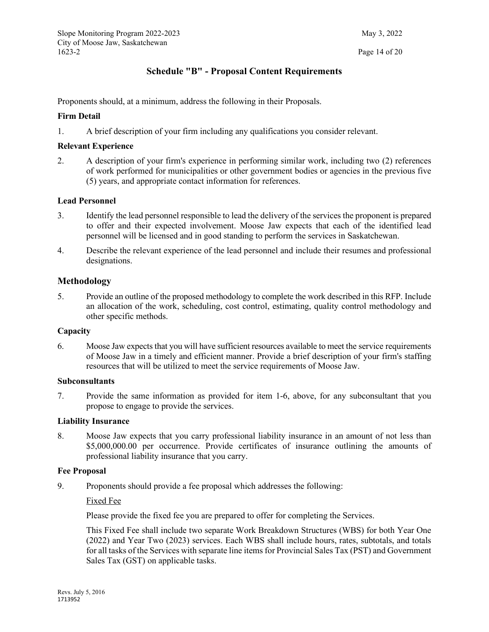## **Schedule "B" - Proposal Content Requirements**

<span id="page-14-0"></span>Proponents should, at a minimum, address the following in their Proposals.

#### **Firm Detail**

1. A brief description of your firm including any qualifications you consider relevant.

#### **Relevant Experience**

2. A description of your firm's experience in performing similar work, including two (2) references of work performed for municipalities or other government bodies or agencies in the previous five (5) years, and appropriate contact information for references.

#### **Lead Personnel**

- 3. Identify the lead personnel responsible to lead the delivery of the services the proponent is prepared to offer and their expected involvement. Moose Jaw expects that each of the identified lead personnel will be licensed and in good standing to perform the services in Saskatchewan.
- 4. Describe the relevant experience of the lead personnel and include their resumes and professional designations.

#### **Methodology**

5. Provide an outline of the proposed methodology to complete the work described in this RFP. Include an allocation of the work, scheduling, cost control, estimating, quality control methodology and other specific methods.

#### **Capacity**

6. Moose Jaw expects that you will have sufficient resources available to meet the service requirements of Moose Jaw in a timely and efficient manner. Provide a brief description of your firm's staffing resources that will be utilized to meet the service requirements of Moose Jaw.

#### **Subconsultants**

7. Provide the same information as provided for item 1-6, above, for any subconsultant that you propose to engage to provide the services.

#### **Liability Insurance**

8. Moose Jaw expects that you carry professional liability insurance in an amount of not less than \$5,000,000.00 per occurrence. Provide certificates of insurance outlining the amounts of professional liability insurance that you carry.

#### **Fee Proposal**

9. Proponents should provide a fee proposal which addresses the following:

#### Fixed Fee

Please provide the fixed fee you are prepared to offer for completing the Services.

This Fixed Fee shall include two separate Work Breakdown Structures (WBS) for both Year One (2022) and Year Two (2023) services. Each WBS shall include hours, rates, subtotals, and totals for all tasks of the Services with separate line items for Provincial Sales Tax (PST) and Government Sales Tax (GST) on applicable tasks.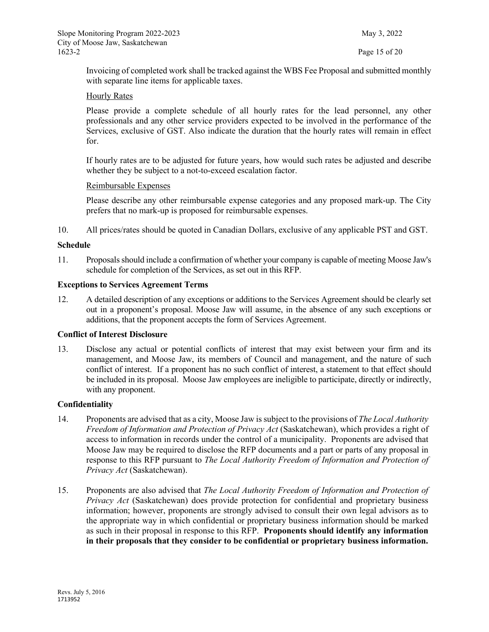Invoicing of completed work shall be tracked against the WBS Fee Proposal and submitted monthly with separate line items for applicable taxes.

#### Hourly Rates

Please provide a complete schedule of all hourly rates for the lead personnel, any other professionals and any other service providers expected to be involved in the performance of the Services, exclusive of GST. Also indicate the duration that the hourly rates will remain in effect for.

If hourly rates are to be adjusted for future years, how would such rates be adjusted and describe whether they be subject to a not-to-exceed escalation factor.

#### Reimbursable Expenses

Please describe any other reimbursable expense categories and any proposed mark-up. The City prefers that no mark-up is proposed for reimbursable expenses.

10. All prices/rates should be quoted in Canadian Dollars, exclusive of any applicable PST and GST.

#### **Schedule**

11. Proposals should include a confirmation of whether your company is capable of meeting Moose Jaw's schedule for completion of the Services, as set out in this RFP.

#### **Exceptions to Services Agreement Terms**

12. A detailed description of any exceptions or additions to the Services Agreement should be clearly set out in a proponent's proposal. Moose Jaw will assume, in the absence of any such exceptions or additions, that the proponent accepts the form of Services Agreement.

#### **Conflict of Interest Disclosure**

13. Disclose any actual or potential conflicts of interest that may exist between your firm and its management, and Moose Jaw, its members of Council and management, and the nature of such conflict of interest. If a proponent has no such conflict of interest, a statement to that effect should be included in its proposal. Moose Jaw employees are ineligible to participate, directly or indirectly, with any proponent.

#### **Confidentiality**

- 14. Proponents are advised that as a city, Moose Jaw is subject to the provisions of *The Local Authority Freedom of Information and Protection of Privacy Act* (Saskatchewan), which provides a right of access to information in records under the control of a municipality. Proponents are advised that Moose Jaw may be required to disclose the RFP documents and a part or parts of any proposal in response to this RFP pursuant to *The Local Authority Freedom of Information and Protection of Privacy Act* (Saskatchewan).
- 15. Proponents are also advised that *The Local Authority Freedom of Information and Protection of Privacy Act* (Saskatchewan) does provide protection for confidential and proprietary business information; however, proponents are strongly advised to consult their own legal advisors as to the appropriate way in which confidential or proprietary business information should be marked as such in their proposal in response to this RFP. **Proponents should identify any information in their proposals that they consider to be confidential or proprietary business information.**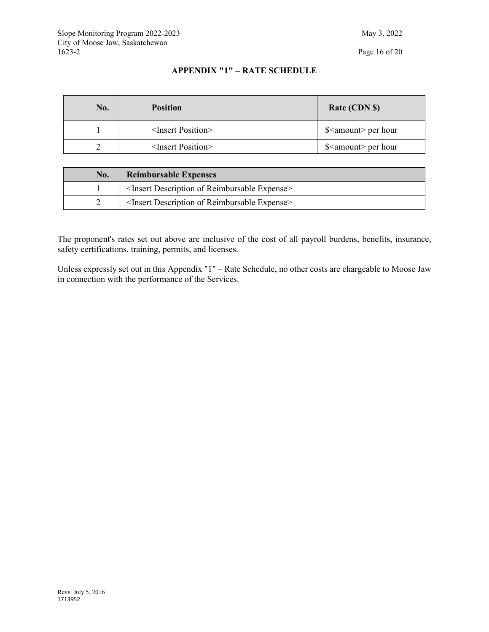### **APPENDIX "1" – RATE SCHEDULE**

| No. | <b>Position</b>               | Rate (CDN \$)                 |
|-----|-------------------------------|-------------------------------|
|     | $\leq$ Insert Position $\geq$ | \$ <amount> per hour</amount> |
|     | $\leq$ Insert Position $\geq$ | \$ <amount> per hour</amount> |

| No. | <b>Reimbursable Expenses</b>                                      |  |  |
|-----|-------------------------------------------------------------------|--|--|
|     | <insert description="" expense="" of="" reimbursable=""></insert> |  |  |
|     | <insert description="" expense="" of="" reimbursable=""></insert> |  |  |

The proponent's rates set out above are inclusive of the cost of all payroll burdens, benefits, insurance, safety certifications, training, permits, and licenses.

Unless expressly set out in this Appendix "1" – Rate Schedule, no other costs are chargeable to Moose Jaw in connection with the performance of the Services.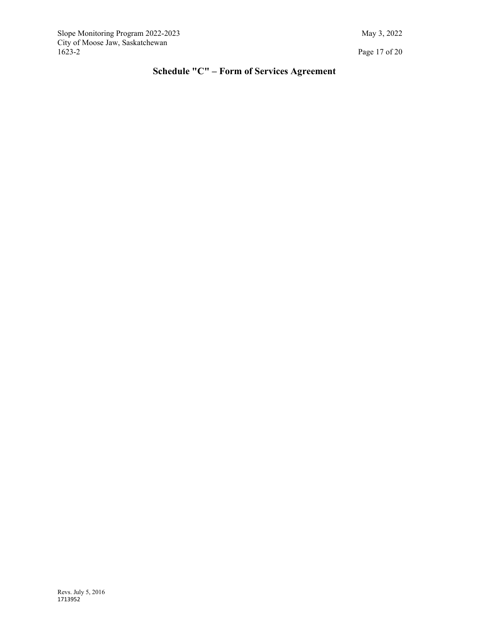<span id="page-17-0"></span>Slope Monitoring Program 2022-2023 May 3, 2022 City of Moose Jaw, Saskatchewan

Page 17 of 20

# **Schedule "C" – Form of Services Agreement**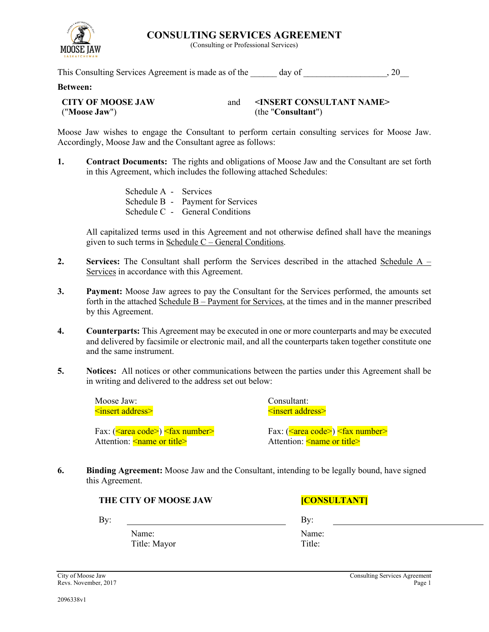

Schedule A - Services Schedule B - Payment for Services

in this Agreement, which includes the following attached Schedules:

Schedule C - General Conditions

Accordingly, Moose Jaw and the Consultant agree as follows:

All capitalized terms used in this Agreement and not otherwise defined shall have the meanings given to such terms in Schedule C – General Conditions.

- **2. Services:** The Consultant shall perform the Services described in the attached Schedule A Services in accordance with this Agreement.
- **3. Payment:** Moose Jaw agrees to pay the Consultant for the Services performed, the amounts set forth in the attached Schedule B – Payment for Services, at the times and in the manner prescribed by this Agreement.
- **4. Counterparts:** This Agreement may be executed in one or more counterparts and may be executed and delivered by facsimile or electronic mail, and all the counterparts taken together constitute one and the same instrument.
- **5. Notices:** All notices or other communications between the parties under this Agreement shall be in writing and delivered to the address set out below:

Moose Jaw: <insert address>

Fax: (<area code>) <fax number> Attention: <u><name or title></u>

Consultant: <insert address>

Fax: (<area code>) <fax number> Attention: <
name or title>

**6. Binding Agreement:** Moose Jaw and the Consultant, intending to be legally bound, have signed this Agreement.

**THE CITY OF MOOSE JAW [CONSULTANT]** 

By: By:

Name: Title: Mayor

Name: Title:

**CONSULTING SERVICES AGREEMENT**

(Consulting or Professional Services)

Moose Jaw wishes to engage the Consultant to perform certain consulting services for Moose Jaw.

**1. Contract Documents:** The rights and obligations of Moose Jaw and the Consultant are set forth

This Consulting Services Agreement is made as of the day of  $\qquad \qquad , 20$ 

### **Between:**

| <b>CITY OF MOOSE JAW</b> | <insert consultant="" name=""></insert> |
|--------------------------|-----------------------------------------|
| ("Moose Jaw")            | (the "Consultant")                      |

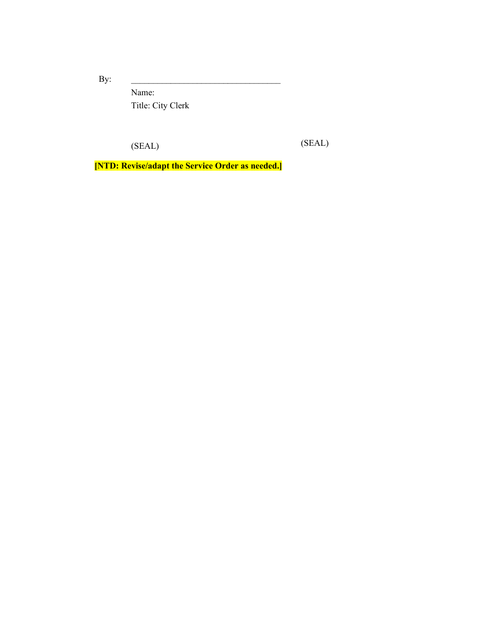By:  $\qquad \qquad$ 

Name: Title: City Clerk

(SEAL) (SEAL)

**[NTD: Revise/adapt the Service Order as needed.]**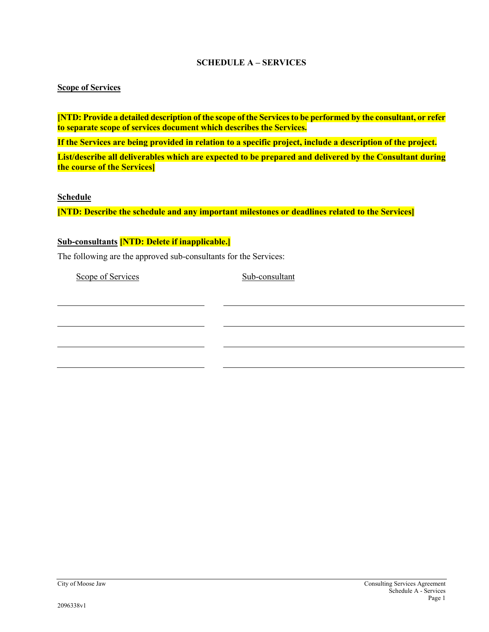### **SCHEDULE A – SERVICES**

### **Scope of Services**

**[NTD: Provide a detailed description of the scope of the Servicesto be performed by the consultant, or refer to separate scope of services document which describes the Services.**

**If the Services are being provided in relation to a specific project, include a description of the project.**

**List/describe all deliverables which are expected to be prepared and delivered by the Consultant during the course of the Services]**

**Schedule**

**[NTD: Describe the schedule and any important milestones or deadlines related to the Services]**

### **Sub-consultants [NTD: Delete if inapplicable.]**

The following are the approved sub-consultants for the Services:

Scope of Services Sub-consultant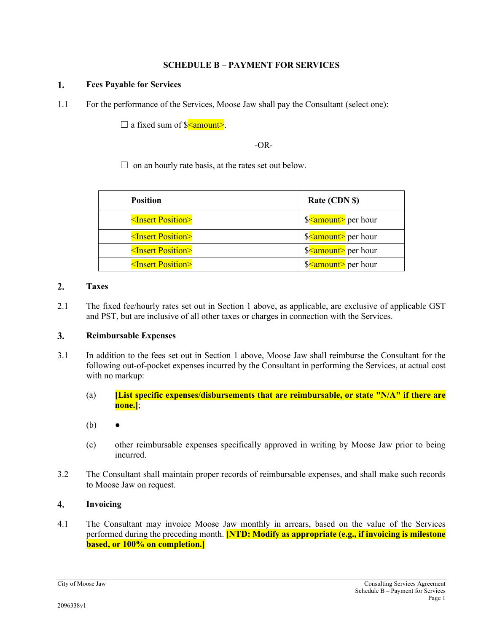### **SCHEDULE B – PAYMENT FOR SERVICES**

#### $\mathbf{1}$ . **Fees Payable for Services**

1.1 For the performance of the Services, Moose Jaw shall pay the Consultant (select one):

 $\Box$  a fixed sum of  $\Diamond$  amount>.

#### -OR-

 $\Box$  on an hourly rate basis, at the rates set out below.

| <b>Position</b>               | Rate (CDN \$)                              |
|-------------------------------|--------------------------------------------|
| $\leq$ Insert Position>       | \$ <amount> per hour</amount>              |
| <insert position=""></insert> | $\frac{\sqrt{2}}{2}$ amount per hour       |
| <insert position=""></insert> | \$ <amount> per hour</amount>              |
| <insert position=""></insert> | \$ <amount hour<="" per="" th=""></amount> |

#### $2.$ **Taxes**

2.1 The fixed fee/hourly rates set out in Section 1 above, as applicable, are exclusive of applicable GST and PST, but are inclusive of all other taxes or charges in connection with the Services.

#### $3.$ **Reimbursable Expenses**

- 3.1 In addition to the fees set out in Section 1 above, Moose Jaw shall reimburse the Consultant for the following out-of-pocket expenses incurred by the Consultant in performing the Services, at actual cost with no markup:
	- (a) **[List specific expenses/disbursements that are reimbursable, or state "N/A" if there are none.]**;
	- $(b)$
	- (c) other reimbursable expenses specifically approved in writing by Moose Jaw prior to being incurred.
- 3.2 The Consultant shall maintain proper records of reimbursable expenses, and shall make such records to Moose Jaw on request.

#### $\overline{4}$ . **Invoicing**

4.1 The Consultant may invoice Moose Jaw monthly in arrears, based on the value of the Services performed during the preceding month. **[NTD: Modify as appropriate (e.g., if invoicing is milestone based, or 100% on completion.]**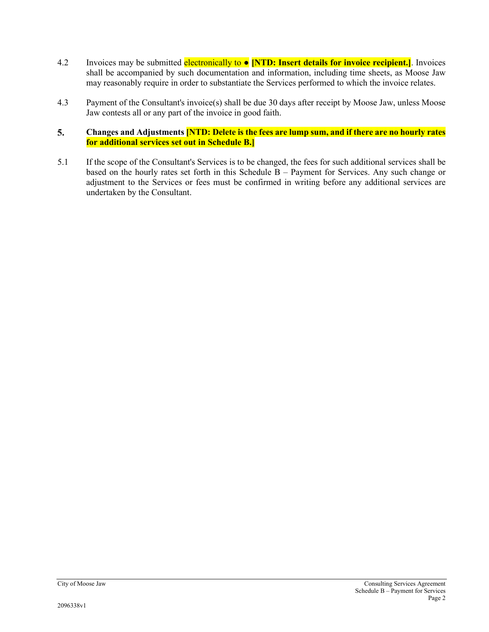- 4.2 Invoices may be submitted electronically to **[NTD: Insert details for invoice recipient.]**. Invoices shall be accompanied by such documentation and information, including time sheets, as Moose Jaw may reasonably require in order to substantiate the Services performed to which the invoice relates.
- 4.3 Payment of the Consultant's invoice(s) shall be due 30 days after receipt by Moose Jaw, unless Moose Jaw contests all or any part of the invoice in good faith.

#### 5. **Changes and Adjustments [NTD: Delete is the fees are lump sum, and if there are no hourly rates for additional services set out in Schedule B.]**

5.1 If the scope of the Consultant's Services is to be changed, the fees for such additional services shall be based on the hourly rates set forth in this Schedule  $B -$  Payment for Services. Any such change or adjustment to the Services or fees must be confirmed in writing before any additional services are undertaken by the Consultant.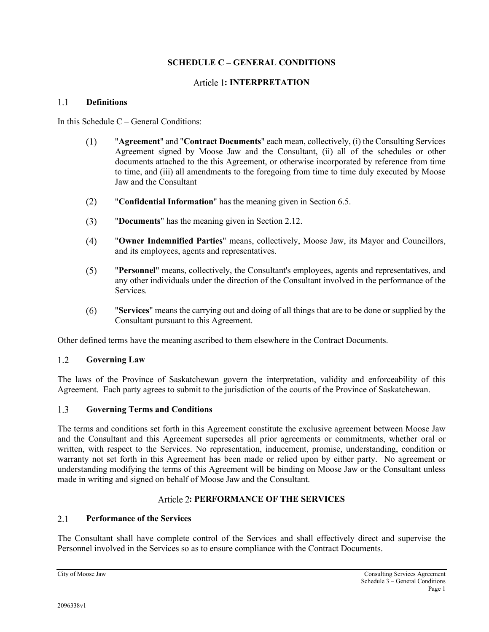### **SCHEDULE C – GENERAL CONDITIONS**

### **: INTERPRETATION**

#### $11$ **Definitions**

In this Schedule C – General Conditions:

- $(1)$ "**Agreement**" and "**Contract Documents**" each mean, collectively, (i) the Consulting Services Agreement signed by Moose Jaw and the Consultant, (ii) all of the schedules or other documents attached to the this Agreement, or otherwise incorporated by reference from time to time, and (iii) all amendments to the foregoing from time to time duly executed by Moose Jaw and the Consultant
- $(2)$ "**Confidential Information**" has the meaning given in Section [6.5.](#page-28-0)
- "**Documents**" has the meaning given in Section [2.12.](#page-25-0)  $(3)$
- $(4)$ "**Owner Indemnified Parties**" means, collectively, Moose Jaw, its Mayor and Councillors, and its employees, agents and representatives.
- $(5)$ "**Personnel**" means, collectively, the Consultant's employees, agents and representatives, and any other individuals under the direction of the Consultant involved in the performance of the Services.
- $(6)$ "**Services**" means the carrying out and doing of all things that are to be done or supplied by the Consultant pursuant to this Agreement.

Other defined terms have the meaning ascribed to them elsewhere in the Contract Documents.

#### $1.2$ **Governing Law**

The laws of the Province of Saskatchewan govern the interpretation, validity and enforceability of this Agreement. Each party agrees to submit to the jurisdiction of the courts of the Province of Saskatchewan.

#### $1.3$ **Governing Terms and Conditions**

The terms and conditions set forth in this Agreement constitute the exclusive agreement between Moose Jaw and the Consultant and this Agreement supersedes all prior agreements or commitments, whether oral or written, with respect to the Services. No representation, inducement, promise, understanding, condition or warranty not set forth in this Agreement has been made or relied upon by either party. No agreement or understanding modifying the terms of this Agreement will be binding on Moose Jaw or the Consultant unless made in writing and signed on behalf of Moose Jaw and the Consultant.

### **: PERFORMANCE OF THE SERVICES**

#### $2.1$ **Performance of the Services**

The Consultant shall have complete control of the Services and shall effectively direct and supervise the Personnel involved in the Services so as to ensure compliance with the Contract Documents.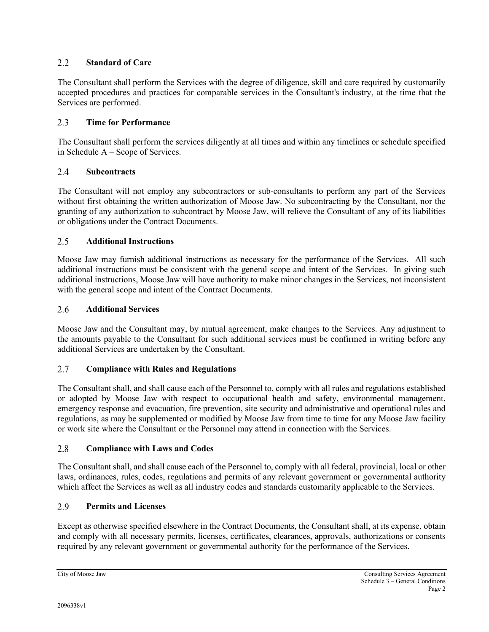#### $2.2^{\circ}$ **Standard of Care**

The Consultant shall perform the Services with the degree of diligence, skill and care required by customarily accepted procedures and practices for comparable services in the Consultant's industry, at the time that the Services are performed.

#### $2.3$ **Time for Performance**

The Consultant shall perform the services diligently at all times and within any timelines or schedule specified in Schedule A – Scope of Services.

#### 2.4 **Subcontracts**

The Consultant will not employ any subcontractors or sub-consultants to perform any part of the Services without first obtaining the written authorization of Moose Jaw. No subcontracting by the Consultant, nor the granting of any authorization to subcontract by Moose Jaw, will relieve the Consultant of any of its liabilities or obligations under the Contract Documents.

#### $2.5$ **Additional Instructions**

Moose Jaw may furnish additional instructions as necessary for the performance of the Services. All such additional instructions must be consistent with the general scope and intent of the Services. In giving such additional instructions, Moose Jaw will have authority to make minor changes in the Services, not inconsistent with the general scope and intent of the Contract Documents.

#### 2.6 **Additional Services**

Moose Jaw and the Consultant may, by mutual agreement, make changes to the Services. Any adjustment to the amounts payable to the Consultant for such additional services must be confirmed in writing before any additional Services are undertaken by the Consultant.

#### $2.7$ **Compliance with Rules and Regulations**

The Consultant shall, and shall cause each of the Personnel to, comply with all rules and regulations established or adopted by Moose Jaw with respect to occupational health and safety, environmental management, emergency response and evacuation, fire prevention, site security and administrative and operational rules and regulations, as may be supplemented or modified by Moose Jaw from time to time for any Moose Jaw facility or work site where the Consultant or the Personnel may attend in connection with the Services.

#### 2.8 **Compliance with Laws and Codes**

The Consultant shall, and shall cause each of the Personnel to, comply with all federal, provincial, local or other laws, ordinances, rules, codes, regulations and permits of any relevant government or governmental authority which affect the Services as well as all industry codes and standards customarily applicable to the Services.

#### $2.9$ **Permits and Licenses**

Except as otherwise specified elsewhere in the Contract Documents, the Consultant shall, at its expense, obtain and comply with all necessary permits, licenses, certificates, clearances, approvals, authorizations or consents required by any relevant government or governmental authority for the performance of the Services.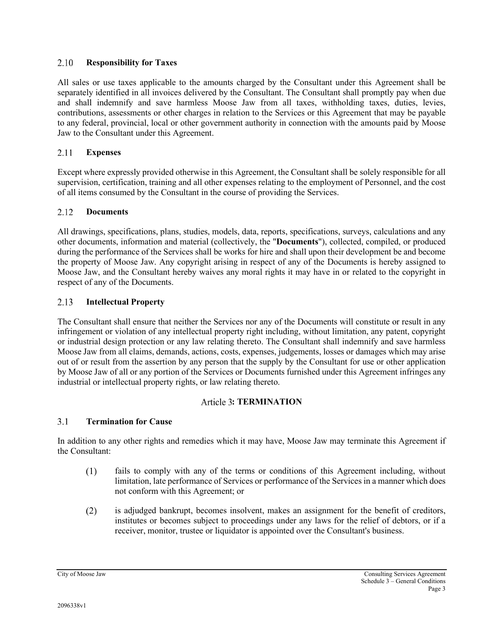#### 2.10 **Responsibility for Taxes**

All sales or use taxes applicable to the amounts charged by the Consultant under this Agreement shall be separately identified in all invoices delivered by the Consultant. The Consultant shall promptly pay when due and shall indemnify and save harmless Moose Jaw from all taxes, withholding taxes, duties, levies, contributions, assessments or other charges in relation to the Services or this Agreement that may be payable to any federal, provincial, local or other government authority in connection with the amounts paid by Moose Jaw to the Consultant under this Agreement.

#### 2.11 **Expenses**

Except where expressly provided otherwise in this Agreement, the Consultant shall be solely responsible for all supervision, certification, training and all other expenses relating to the employment of Personnel, and the cost of all items consumed by the Consultant in the course of providing the Services.

#### <span id="page-25-0"></span>2.12 **Documents**

All drawings, specifications, plans, studies, models, data, reports, specifications, surveys, calculations and any other documents, information and material (collectively, the "**Documents**"), collected, compiled, or produced during the performance of the Services shall be works for hire and shall upon their development be and become the property of Moose Jaw. Any copyright arising in respect of any of the Documents is hereby assigned to Moose Jaw, and the Consultant hereby waives any moral rights it may have in or related to the copyright in respect of any of the Documents.

#### 2.13 **Intellectual Property**

The Consultant shall ensure that neither the Services nor any of the Documents will constitute or result in any infringement or violation of any intellectual property right including, without limitation, any patent, copyright or industrial design protection or any law relating thereto. The Consultant shall indemnify and save harmless Moose Jaw from all claims, demands, actions, costs, expenses, judgements, losses or damages which may arise out of or result from the assertion by any person that the supply by the Consultant for use or other application by Moose Jaw of all or any portion of the Services or Documents furnished under this Agreement infringes any industrial or intellectual property rights, or law relating thereto.

### Article 3: **TERMINATION**

#### $3.1$ **Termination for Cause**

In addition to any other rights and remedies which it may have, Moose Jaw may terminate this Agreement if the Consultant:

- $(1)$ fails to comply with any of the terms or conditions of this Agreement including, without limitation, late performance of Services or performance of the Services in a manner which does not conform with this Agreement; or
- $(2)$ is adjudged bankrupt, becomes insolvent, makes an assignment for the benefit of creditors, institutes or becomes subject to proceedings under any laws for the relief of debtors, or if a receiver, monitor, trustee or liquidator is appointed over the Consultant's business.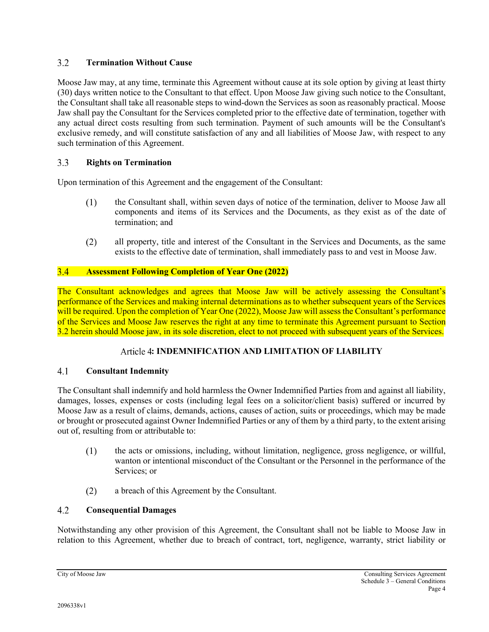#### $3.2$ **Termination Without Cause**

Moose Jaw may, at any time, terminate this Agreement without cause at its sole option by giving at least thirty (30) days written notice to the Consultant to that effect. Upon Moose Jaw giving such notice to the Consultant, the Consultant shall take all reasonable steps to wind-down the Services as soon as reasonably practical. Moose Jaw shall pay the Consultant for the Services completed prior to the effective date of termination, together with any actual direct costs resulting from such termination. Payment of such amounts will be the Consultant's exclusive remedy, and will constitute satisfaction of any and all liabilities of Moose Jaw, with respect to any such termination of this Agreement.

#### $3.3$ **Rights on Termination**

Upon termination of this Agreement and the engagement of the Consultant:

- $(1)$ the Consultant shall, within seven days of notice of the termination, deliver to Moose Jaw all components and items of its Services and the Documents, as they exist as of the date of termination; and
- $(2)$ all property, title and interest of the Consultant in the Services and Documents, as the same exists to the effective date of termination, shall immediately pass to and vest in Moose Jaw.

#### $3.4$ **Assessment Following Completion of Year One (2022)**

The Consultant acknowledges and agrees that Moose Jaw will be actively assessing the Consultant's performance of the Services and making internal determinations as to whether subsequent years of the Services will be required. Upon the completion of Year One (2022), Moose Jaw will assess the Consultant's performance of the Services and Moose Jaw reserves the right at any time to terminate this Agreement pursuant to Section 3.2 herein should Moose jaw, in its sole discretion, elect to not proceed with subsequent years of the Services.

### **: INDEMNIFICATION AND LIMITATION OF LIABILITY**

#### $4.1$ **Consultant Indemnity**

The Consultant shall indemnify and hold harmless the Owner Indemnified Parties from and against all liability, damages, losses, expenses or costs (including legal fees on a solicitor/client basis) suffered or incurred by Moose Jaw as a result of claims, demands, actions, causes of action, suits or proceedings, which may be made or brought or prosecuted against Owner Indemnified Parties or any of them by a third party, to the extent arising out of, resulting from or attributable to:

- $(1)$ the acts or omissions, including, without limitation, negligence, gross negligence, or willful, wanton or intentional misconduct of the Consultant or the Personnel in the performance of the Services; or
- $(2)$ a breach of this Agreement by the Consultant.

#### $4.2$ **Consequential Damages**

Notwithstanding any other provision of this Agreement, the Consultant shall not be liable to Moose Jaw in relation to this Agreement, whether due to breach of contract, tort, negligence, warranty, strict liability or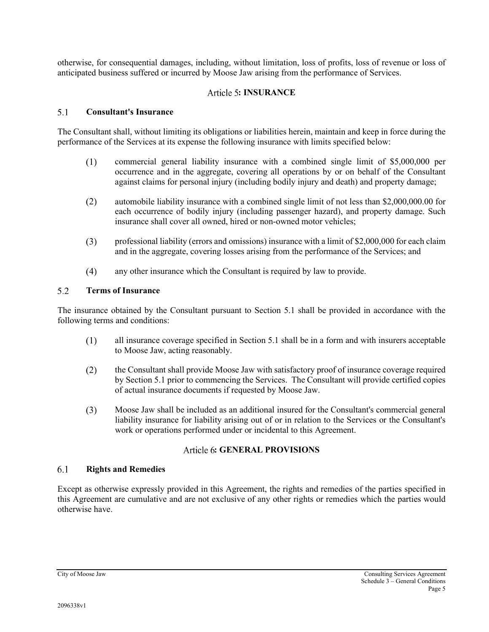otherwise, for consequential damages, including, without limitation, loss of profits, loss of revenue or loss of anticipated business suffered or incurred by Moose Jaw arising from the performance of Services.

### **: INSURANCE**

#### <span id="page-27-0"></span> $5<sub>1</sub>$ **Consultant's Insurance**

The Consultant shall, without limiting its obligations or liabilities herein, maintain and keep in force during the performance of the Services at its expense the following insurance with limits specified below:

- $(1)$ commercial general liability insurance with a combined single limit of \$5,000,000 per occurrence and in the aggregate, covering all operations by or on behalf of the Consultant against claims for personal injury (including bodily injury and death) and property damage;
- $(2)$ automobile liability insurance with a combined single limit of not less than \$2,000,000.00 for each occurrence of bodily injury (including passenger hazard), and property damage. Such insurance shall cover all owned, hired or non-owned motor vehicles;
- professional liability (errors and omissions) insurance with a limit of \$2,000,000 for each claim  $(3)$ and in the aggregate, covering losses arising from the performance of the Services; and
- $(4)$ any other insurance which the Consultant is required by law to provide.

#### 5.2 **Terms of Insurance**

The insurance obtained by the Consultant pursuant to Section [5.1](#page-27-0) shall be provided in accordance with the following terms and conditions:

- $(1)$ all insurance coverage specified in Section [5.1](#page-27-0) shall be in a form and with insurers acceptable to Moose Jaw, acting reasonably.
- $(2)$ the Consultant shall provide Moose Jaw with satisfactory proof of insurance coverage required by Section [5.1](#page-27-0) prior to commencing the Services. The Consultant will provide certified copies of actual insurance documents if requested by Moose Jaw.
- $(3)$ Moose Jaw shall be included as an additional insured for the Consultant's commercial general liability insurance for liability arising out of or in relation to the Services or the Consultant's work or operations performed under or incidental to this Agreement.

### **: GENERAL PROVISIONS**

#### $6.1$ **Rights and Remedies**

Except as otherwise expressly provided in this Agreement, the rights and remedies of the parties specified in this Agreement are cumulative and are not exclusive of any other rights or remedies which the parties would otherwise have.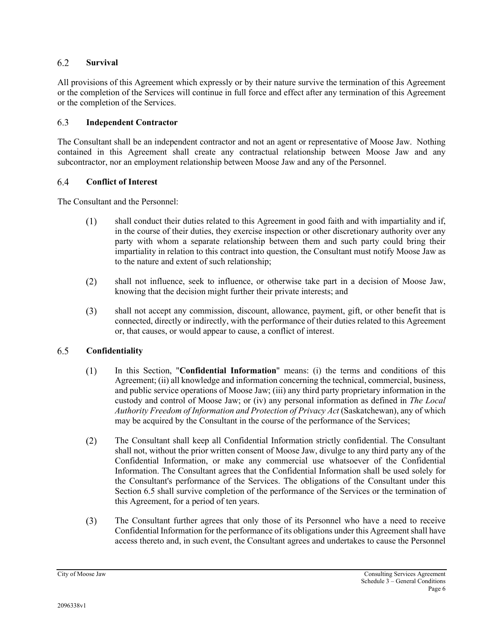#### 6.2 **Survival**

All provisions of this Agreement which expressly or by their nature survive the termination of this Agreement or the completion of the Services will continue in full force and effect after any termination of this Agreement or the completion of the Services.

#### 6.3 **Independent Contractor**

The Consultant shall be an independent contractor and not an agent or representative of Moose Jaw. Nothing contained in this Agreement shall create any contractual relationship between Moose Jaw and any subcontractor, nor an employment relationship between Moose Jaw and any of the Personnel.

#### 6.4 **Conflict of Interest**

The Consultant and the Personnel:

- shall conduct their duties related to this Agreement in good faith and with impartiality and if,  $(1)$ in the course of their duties, they exercise inspection or other discretionary authority over any party with whom a separate relationship between them and such party could bring their impartiality in relation to this contract into question, the Consultant must notify Moose Jaw as to the nature and extent of such relationship;
- $(2)$ shall not influence, seek to influence, or otherwise take part in a decision of Moose Jaw, knowing that the decision might further their private interests; and
- $(3)$ shall not accept any commission, discount, allowance, payment, gift, or other benefit that is connected, directly or indirectly, with the performance of their duties related to this Agreement or, that causes, or would appear to cause, a conflict of interest.

#### <span id="page-28-0"></span>6.5 **Confidentiality**

- In this Section, "**Confidential Information**" means: (i) the terms and conditions of this  $(1)$ Agreement; (ii) all knowledge and information concerning the technical, commercial, business, and public service operations of Moose Jaw; (iii) any third party proprietary information in the custody and control of Moose Jaw; or (iv) any personal information as defined in *The Local Authority Freedom of Information and Protection of Privacy Act* (Saskatchewan), any of which may be acquired by the Consultant in the course of the performance of the Services;
- $(2)$ The Consultant shall keep all Confidential Information strictly confidential. The Consultant shall not, without the prior written consent of Moose Jaw, divulge to any third party any of the Confidential Information, or make any commercial use whatsoever of the Confidential Information. The Consultant agrees that the Confidential Information shall be used solely for the Consultant's performance of the Services. The obligations of the Consultant under this Section [6.5](#page-28-0) shall survive completion of the performance of the Services or the termination of this Agreement, for a period of ten years.
- $(3)$ The Consultant further agrees that only those of its Personnel who have a need to receive Confidential Information for the performance of its obligations under this Agreement shall have access thereto and, in such event, the Consultant agrees and undertakes to cause the Personnel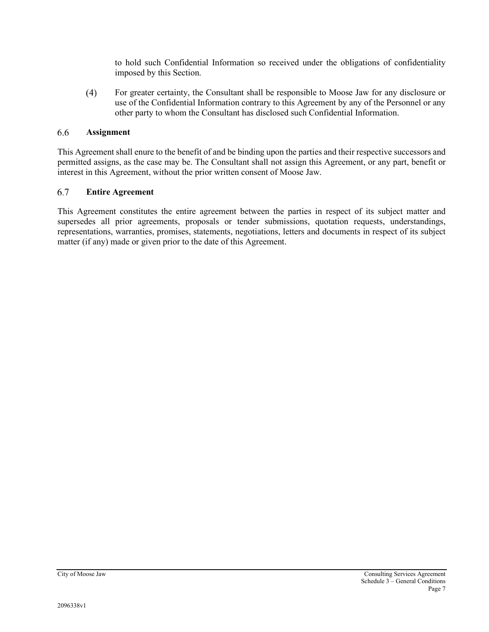to hold such Confidential Information so received under the obligations of confidentiality imposed by this Section.

 $(4)$ For greater certainty, the Consultant shall be responsible to Moose Jaw for any disclosure or use of the Confidential Information contrary to this Agreement by any of the Personnel or any other party to whom the Consultant has disclosed such Confidential Information.

#### 6.6 **Assignment**

This Agreement shall enure to the benefit of and be binding upon the parties and their respective successors and permitted assigns, as the case may be. The Consultant shall not assign this Agreement, or any part, benefit or interest in this Agreement, without the prior written consent of Moose Jaw.

#### 6.7 **Entire Agreement**

This Agreement constitutes the entire agreement between the parties in respect of its subject matter and supersedes all prior agreements, proposals or tender submissions, quotation requests, understandings, representations, warranties, promises, statements, negotiations, letters and documents in respect of its subject matter (if any) made or given prior to the date of this Agreement.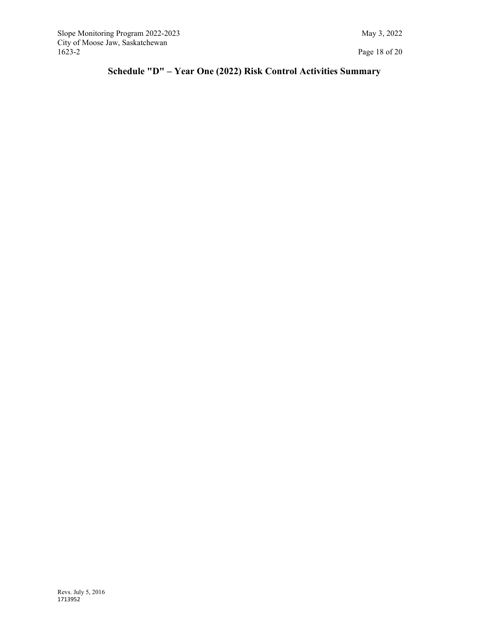<span id="page-30-0"></span>Slope Monitoring Program 2022-2023 May 3, 2022 City of Moose Jaw, Saskatchewan

# **Schedule "D" – Year One (2022) Risk Control Activities Summary**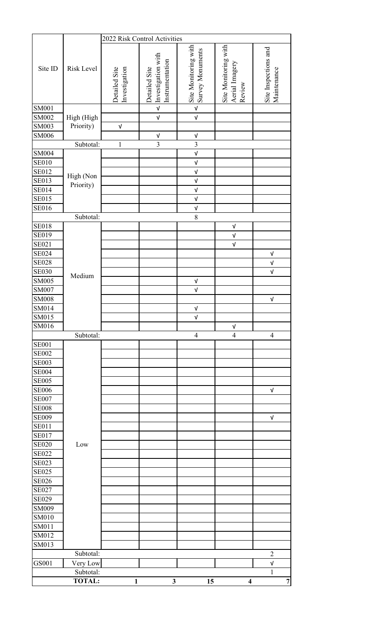|              |                        | 2022 Risk Control Activities   |                                                        |                                          |                                                  |                                     |
|--------------|------------------------|--------------------------------|--------------------------------------------------------|------------------------------------------|--------------------------------------------------|-------------------------------------|
| Site ID      | Risk Level             | Detailed Site<br>Investigation | Investigation with<br>Instrumentation<br>Detailed Site | Site Monitoring with<br>Survey Monuments | Site Monitoring with<br>Aerial Imagery<br>Review | Site Inspections and<br>Maintenance |
| <b>SM001</b> |                        |                                | $\ensuremath{\mathsf{v}}\xspace$                       | $\overline{\mathsf{v}}$                  |                                                  |                                     |
| <b>SM002</b> | High (High             |                                | $\ensuremath{\mathsf{V}}$                              | $\sqrt{ }$                               |                                                  |                                     |
| <b>SM003</b> | Priority)              | $\sqrt{ }$                     |                                                        |                                          |                                                  |                                     |
| <b>SM006</b> |                        |                                | V                                                      | $\ensuremath{\mathsf{V}}$                |                                                  |                                     |
|              | Subtotal:              | $\mathbbm{1}$                  | $\overline{3}$                                         | $\overline{3}$                           |                                                  |                                     |
| <b>SM004</b> |                        |                                |                                                        | $\mathsf{V}$                             |                                                  |                                     |
| <b>SE010</b> |                        |                                |                                                        | $\ensuremath{\mathsf{V}}$                |                                                  |                                     |
| <b>SE012</b> |                        |                                |                                                        | $\sqrt{ }$                               |                                                  |                                     |
| <b>SE013</b> | High (Non<br>Priority) |                                |                                                        | $\ensuremath{\mathsf{V}}$                |                                                  |                                     |
| <b>SE014</b> |                        |                                |                                                        | $\sqrt{ }$                               |                                                  |                                     |
| <b>SE015</b> |                        |                                |                                                        | $\mathsf{V}$                             |                                                  |                                     |
| <b>SE016</b> |                        |                                |                                                        | $\mathsf{V}$                             |                                                  |                                     |
|              | Subtotal:              |                                |                                                        | 8                                        |                                                  |                                     |
| <b>SE018</b> |                        |                                |                                                        |                                          | $\ensuremath{\mathsf{V}}$                        |                                     |
| <b>SE019</b> |                        |                                |                                                        |                                          | $\mathsf{V}$                                     |                                     |
| <b>SE021</b> |                        |                                |                                                        |                                          | $\sqrt{ }$                                       |                                     |
| <b>SE024</b> |                        |                                |                                                        |                                          |                                                  | $\sqrt{ }$                          |
| <b>SE028</b> |                        |                                |                                                        |                                          |                                                  | $\ensuremath{\mathsf{V}}$           |
| <b>SE030</b> |                        |                                |                                                        |                                          |                                                  | $\sqrt{ }$                          |
| <b>SM005</b> | Medium                 |                                |                                                        | $\ensuremath{\mathsf{V}}$                |                                                  |                                     |
| SM007        |                        |                                |                                                        | $\sqrt{ }$                               |                                                  |                                     |
| <b>SM008</b> |                        |                                |                                                        |                                          |                                                  | $\sqrt{ }$                          |
| SM014        |                        |                                |                                                        | $\ensuremath{\mathsf{V}}$                |                                                  |                                     |
| SM015        |                        |                                |                                                        | $\sqrt{ }$                               |                                                  |                                     |
| SM016        |                        |                                |                                                        |                                          | $\ensuremath{\mathsf{V}}$                        |                                     |
|              | Subtotal:              |                                |                                                        | $\overline{\mathcal{A}}$                 | $\overline{\mathcal{A}}$                         | $\overline{4}$                      |
| <b>SE001</b> |                        |                                |                                                        |                                          |                                                  |                                     |
| <b>SE002</b> |                        |                                |                                                        |                                          |                                                  |                                     |
| <b>SE003</b> |                        |                                |                                                        |                                          |                                                  |                                     |
| <b>SE004</b> |                        |                                |                                                        |                                          |                                                  |                                     |
| <b>SE005</b> |                        |                                |                                                        |                                          |                                                  |                                     |
| <b>SE006</b> |                        |                                |                                                        |                                          |                                                  | $\ensuremath{\mathsf{V}}$           |
| <b>SE007</b> |                        |                                |                                                        |                                          |                                                  |                                     |
| <b>SE008</b> |                        |                                |                                                        |                                          |                                                  |                                     |
| <b>SE009</b> |                        |                                |                                                        |                                          |                                                  | $\ensuremath{\mathsf{V}}$           |
| <b>SE011</b> |                        |                                |                                                        |                                          |                                                  |                                     |
| <b>SE017</b> |                        |                                |                                                        |                                          |                                                  |                                     |
| <b>SE020</b> | Low                    |                                |                                                        |                                          |                                                  |                                     |
| <b>SE022</b> |                        |                                |                                                        |                                          |                                                  |                                     |
| <b>SE023</b> |                        |                                |                                                        |                                          |                                                  |                                     |
| <b>SE025</b> |                        |                                |                                                        |                                          |                                                  |                                     |
| <b>SE026</b> |                        |                                |                                                        |                                          |                                                  |                                     |
| <b>SE027</b> |                        |                                |                                                        |                                          |                                                  |                                     |
| <b>SE029</b> |                        |                                |                                                        |                                          |                                                  |                                     |
| SM009        |                        |                                |                                                        |                                          |                                                  |                                     |
| <b>SM010</b> |                        |                                |                                                        |                                          |                                                  |                                     |
| <b>SM011</b> |                        |                                |                                                        |                                          |                                                  |                                     |
| SM012        |                        |                                |                                                        |                                          |                                                  |                                     |
| SM013        |                        |                                |                                                        |                                          |                                                  |                                     |
|              | Subtotal:              |                                |                                                        |                                          |                                                  | $\sqrt{2}$                          |
| GS001        | Very Low               |                                |                                                        |                                          |                                                  | $\ensuremath{\mathsf{V}}$           |
|              | Subtotal:              |                                |                                                        |                                          |                                                  | $\mathbf{1}$                        |
|              | <b>TOTAL:</b>          | 1                              | $\mathbf{3}$                                           | 15                                       | $\overline{\mathbf{4}}$                          | $\overline{7}$                      |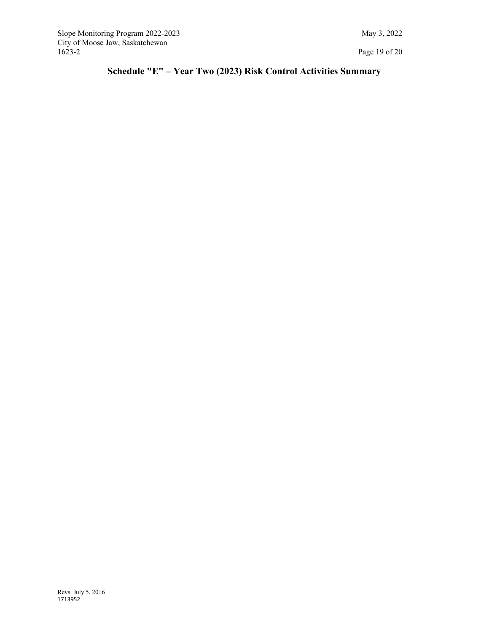# <span id="page-32-0"></span>**Schedule "E" – Year Two (2023) Risk Control Activities Summary**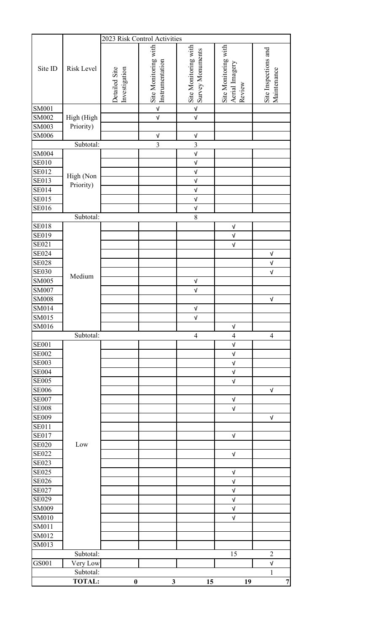|                         |               | 2023 Risk Control Activities   |                                                                      |                                                                     |                                                  |                                     |
|-------------------------|---------------|--------------------------------|----------------------------------------------------------------------|---------------------------------------------------------------------|--------------------------------------------------|-------------------------------------|
| Site ID<br><b>SM001</b> | Risk Level    | Detailed Site<br>Investigation | Site Monitoring with<br>Instrumentation<br>$\ensuremath{\mathsf{V}}$ | Site Monitoring with<br>Survey Monuments<br>$\overline{\mathsf{v}}$ | Site Monitoring with<br>Aerial Imagery<br>Review | Site Inspections and<br>Maintenance |
|                         |               |                                |                                                                      |                                                                     |                                                  |                                     |
| SM002                   | High (High    |                                | $\ensuremath{\mathsf{V}}$                                            | $\ensuremath{\mathsf{V}}$                                           |                                                  |                                     |
| <b>SM003</b>            | Priority)     |                                |                                                                      |                                                                     |                                                  |                                     |
| <b>SM006</b>            |               |                                | $\ensuremath{\mathsf{V}}$                                            | $\ensuremath{\mathsf{V}}$                                           |                                                  |                                     |
|                         | Subtotal:     |                                | $\overline{3}$                                                       | $\overline{3}$                                                      |                                                  |                                     |
| <b>SM004</b>            |               |                                |                                                                      | $\mathsf{V}$                                                        |                                                  |                                     |
| <b>SE010</b>            |               |                                |                                                                      | $\ensuremath{\mathsf{V}}$                                           |                                                  |                                     |
| <b>SE012</b>            | High (Non     |                                |                                                                      | $\sqrt{ }$                                                          |                                                  |                                     |
| <b>SE013</b>            | Priority)     |                                |                                                                      | $\sqrt{ }$                                                          |                                                  |                                     |
| <b>SE014</b>            |               |                                |                                                                      | $\mathsf{V}$                                                        |                                                  |                                     |
| <b>SE015</b>            |               |                                |                                                                      | $\sqrt{ }$                                                          |                                                  |                                     |
| <b>SE016</b>            |               |                                |                                                                      | $\sqrt{ }$                                                          |                                                  |                                     |
|                         | Subtotal:     |                                |                                                                      | 8                                                                   |                                                  |                                     |
| <b>SE018</b>            |               |                                |                                                                      |                                                                     | $\ensuremath{\mathsf{V}}$                        |                                     |
| <b>SE019</b>            |               |                                |                                                                      |                                                                     | $\mathsf{V}$                                     |                                     |
| SE021                   |               |                                |                                                                      |                                                                     | $\mathsf{V}$                                     |                                     |
| <b>SE024</b>            |               |                                |                                                                      |                                                                     |                                                  | $\ensuremath{\mathsf{V}}$           |
| <b>SE028</b>            |               |                                |                                                                      |                                                                     |                                                  | $\mathsf{V}$                        |
| <b>SE030</b>            |               |                                |                                                                      |                                                                     |                                                  | $\sqrt{ }$                          |
| <b>SM005</b>            | Medium        |                                |                                                                      | $\mathsf{V}$                                                        |                                                  |                                     |
| SM007                   |               |                                |                                                                      | $\sqrt{ }$                                                          |                                                  |                                     |
| <b>SM008</b>            |               |                                |                                                                      |                                                                     |                                                  | $\ensuremath{\mathsf{V}}$           |
| SM014                   |               |                                |                                                                      | $\ensuremath{\mathsf{V}}$                                           |                                                  |                                     |
| SM015                   |               |                                |                                                                      | $\sqrt{ }$                                                          |                                                  |                                     |
| SM016                   |               |                                |                                                                      |                                                                     | $\sqrt{ }$                                       |                                     |
|                         | Subtotal:     |                                |                                                                      | $\overline{\mathcal{A}}$                                            | $\overline{4}$                                   | $\overline{4}$                      |
| <b>SE001</b>            |               |                                |                                                                      |                                                                     | V                                                |                                     |
| <b>SE002</b>            |               |                                |                                                                      |                                                                     | $\sqrt{ }$                                       |                                     |
| <b>SE003</b>            |               |                                |                                                                      |                                                                     | $\sqrt{ }$                                       |                                     |
| <b>SE004</b>            |               |                                |                                                                      |                                                                     | $\ensuremath{\mathsf{V}}$                        |                                     |
| <b>SE005</b>            |               |                                |                                                                      |                                                                     | $\sqrt{ }$                                       |                                     |
| <b>SE006</b>            |               |                                |                                                                      |                                                                     |                                                  | $\sqrt{ }$                          |
| <b>SE007</b>            |               |                                |                                                                      |                                                                     | $\ensuremath{\mathsf{V}}$                        |                                     |
| <b>SE008</b>            |               |                                |                                                                      |                                                                     | $\sqrt{ }$                                       |                                     |
| <b>SE009</b>            |               |                                |                                                                      |                                                                     |                                                  | $\ensuremath{\mathsf{V}}$           |
| <b>SE011</b>            |               |                                |                                                                      |                                                                     |                                                  |                                     |
| <b>SE017</b>            |               |                                |                                                                      |                                                                     | $\sqrt{ }$                                       |                                     |
| <b>SE020</b>            | Low           |                                |                                                                      |                                                                     |                                                  |                                     |
| <b>SE022</b>            |               |                                |                                                                      |                                                                     | $\mathsf{V}$                                     |                                     |
| <b>SE023</b>            |               |                                |                                                                      |                                                                     |                                                  |                                     |
| <b>SE025</b>            |               |                                |                                                                      |                                                                     | $\sqrt{ }$                                       |                                     |
| <b>SE026</b>            |               |                                |                                                                      |                                                                     | $\ensuremath{\mathsf{V}}$                        |                                     |
| <b>SE027</b>            |               |                                |                                                                      |                                                                     | $\sqrt{ }$                                       |                                     |
| <b>SE029</b>            |               |                                |                                                                      |                                                                     | $\ensuremath{\mathsf{V}}$                        |                                     |
| <b>SM009</b>            |               |                                |                                                                      |                                                                     | V                                                |                                     |
| <b>SM010</b>            |               |                                |                                                                      |                                                                     | $\sqrt{ }$                                       |                                     |
| SM011                   |               |                                |                                                                      |                                                                     |                                                  |                                     |
| SM012                   |               |                                |                                                                      |                                                                     |                                                  |                                     |
| SM013                   |               |                                |                                                                      |                                                                     |                                                  |                                     |
|                         | Subtotal:     |                                |                                                                      |                                                                     | 15                                               | $\overline{2}$                      |
| GS001                   | Very Low      |                                |                                                                      |                                                                     |                                                  | $\ensuremath{\mathsf{V}}$           |
|                         | Subtotal:     |                                |                                                                      |                                                                     |                                                  | 1                                   |
|                         | <b>TOTAL:</b> | $\bf{0}$                       | $\mathbf{3}$                                                         | 15                                                                  | 19                                               | $\overline{7}$                      |